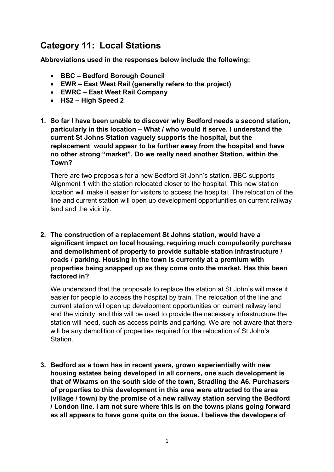# Category 11: Local Stations

Abbreviations used in the responses below include the following;

- BBC Bedford Borough Council
- EWR East West Rail (generally refers to the project)
- EWRC East West Rail Company
- HS2 High Speed 2
- 1. So far I have been unable to discover why Bedford needs a second station, particularly in this location – What / who would it serve. I understand the current St Johns Station vaguely supports the hospital, but the replacement would appear to be further away from the hospital and have no other strong "market". Do we really need another Station, within the Town?

 There are two proposals for a new Bedford St John's station. BBC supports Alignment 1 with the station relocated closer to the hospital. This new station location will make it easier for visitors to access the hospital. The relocation of the line and current station will open up development opportunities on current railway land and the vicinity.

 2. The construction of a replacement St Johns station, would have a significant impact on local housing, requiring much compulsorily purchase and demolishment of property to provide suitable station infrastructure / roads / parking. Housing in the town is currently at a premium with properties being snapped up as they come onto the market. Has this been factored in?

 We understand that the proposals to replace the station at St John's will make it easier for people to access the hospital by train. The relocation of the line and current station will open up development opportunities on current railway land and the vicinity, and this will be used to provide the necessary infrastructure the station will need, such as access points and parking. We are not aware that there will be any demolition of properties required for the relocation of St John's Station.

 3. Bedford as a town has in recent years, grown experientially with new housing estates being developed in all corners, one such development is that of Wixams on the south side of the town, Stradling the A6. Purchasers of properties to this development in this area were attracted to the area (village / town) by the promise of a new railway station serving the Bedford / London line. I am not sure where this is on the towns plans going forward as all appears to have gone quite on the issue. I believe the developers of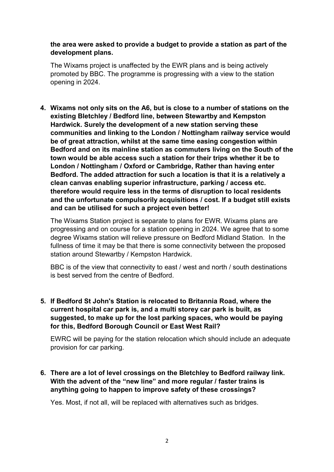## the area were asked to provide a budget to provide a station as part of the development plans.

 The Wixams project is unaffected by the EWR plans and is being actively promoted by BBC. The programme is progressing with a view to the station opening in 2024.

 4. Wixams not only sits on the A6, but is close to a number of stations on the existing Bletchley / Bedford line, between Stewartby and Kempston Hardwick. Surely the development of a new station serving these communities and linking to the London / Nottingham railway service would be of great attraction, whilst at the same time easing congestion within Bedford and on its mainline station as commuters living on the South of the town would be able access such a station for their trips whether it be to London / Nottingham / Oxford or Cambridge, Rather than having enter Bedford. The added attraction for such a location is that it is a relatively a clean canvas enabling superior infrastructure, parking / access etc. therefore would require less in the terms of disruption to local residents and the unfortunate compulsorily acquisitions / cost. If a budget still exists and can be utilised for such a project even better!

 The Wixams Station project is separate to plans for EWR. Wixams plans are progressing and on course for a station opening in 2024. We agree that to some degree Wixams station will relieve pressure on Bedford Midland Station. In the fullness of time it may be that there is some connectivity between the proposed station around Stewartby / Kempston Hardwick.

 BBC is of the view that connectivity to east / west and north / south destinations is best served from the centre of Bedford.

 5. If Bedford St John's Station is relocated to Britannia Road, where the current hospital car park is, and a multi storey car park is built, as suggested, to make up for the lost parking spaces, who would be paying for this, Bedford Borough Council or East West Rail?

 EWRC will be paying for the station relocation which should include an adequate provision for car parking.

 6. There are a lot of level crossings on the Bletchley to Bedford railway link. With the advent of the "new line" and more regular / faster trains is anything going to happen to improve safety of these crossings?

Yes. Most, if not all, will be replaced with alternatives such as bridges.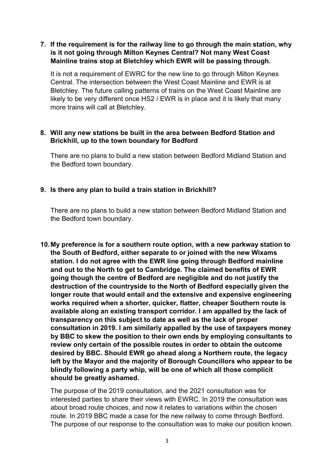# 7. If the requirement is for the railway line to go through the main station, why is it not going through Milton Keynes Central? Not many West Coast Mainline trains stop at Bletchley which EWR will be passing through.

 It is not a requirement of EWRC for the new line to go through Milton Keynes Central. The intersection between the West Coast Mainline and EWR is at Bletchley. The future calling patterns of trains on the West Coast Mainline are likely to be very different once HS2 / EWR is in place and it is likely that many more trains will call at Bletchley.

#### 8. Will any new stations be built in the area between Bedford Station and Brickhill, up to the town boundary for Bedford

 There are no plans to build a new station between Bedford Midland Station and the Bedford town boundary.

## 9. Is there any plan to build a train station in Brickhill?

 There are no plans to build a new station between Bedford Midland Station and the Bedford town boundary.

 10.My preference is for a southern route option, with a new parkway station to the South of Bedford, either separate to or joined with the new Wixams station. I do not agree with the EWR line going through Bedford mainline and out to the North to get to Cambridge. The claimed benefits of EWR going though the centre of Bedford are negligible and do not justify the destruction of the countryside to the North of Bedford especially given the longer route that would entail and the extensive and expensive engineering works required when a shorter, quicker, flatter, cheaper Southern route is available along an existing transport corridor. I am appalled by the lack of transparency on this subject to date as well as the lack of proper consultation in 2019. I am similarly appalled by the use of taxpayers money by BBC to skew the position to their own ends by employing consultants to review only certain of the possible routes in order to obtain the outcome desired by BBC. Should EWR go ahead along a Northern route, the legacy left by the Mayor and the majority of Borough Councillors who appear to be blindly following a party whip, will be one of which all those complicit should be greatly ashamed.

 The purpose of the 2019 consultation, and the 2021 consultation was for interested parties to share their views with EWRC. In 2019 the consultation was about broad route choices, and now it relates to variations within the chosen route. In 2019 BBC made a case for the new railway to come through Bedford. The purpose of our response to the consultation was to make our position known.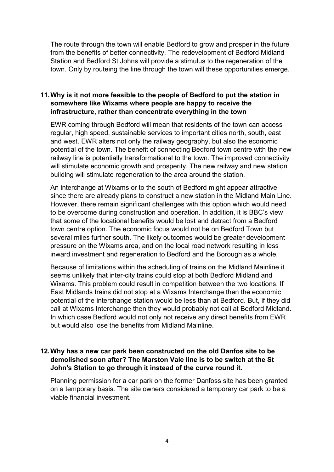The route through the town will enable Bedford to grow and prosper in the future from the benefits of better connectivity. The redevelopment of Bedford Midland Station and Bedford St Johns will provide a stimulus to the regeneration of the town. Only by routeing the line through the town will these opportunities emerge.

# 11.Why is it not more feasible to the people of Bedford to put the station in somewhere like Wixams where people are happy to receive the infrastructure, rather than concentrate everything in the town

 EWR coming through Bedford will mean that residents of the town can access regular, high speed, sustainable services to important cities north, south, east and west. EWR alters not only the railway geography, but also the economic potential of the town. The benefit of connecting Bedford town centre with the new railway line is potentially transformational to the town. The improved connectivity will stimulate economic growth and prosperity. The new railway and new station building will stimulate regeneration to the area around the station.

 An interchange at Wixams or to the south of Bedford might appear attractive since there are already plans to construct a new station in the Midland Main Line. However, there remain significant challenges with this option which would need to be overcome during construction and operation. In addition, it is BBC's view that some of the locational benefits would be lost and detract from a Bedford town centre option. The economic focus would not be on Bedford Town but several miles further south. The likely outcomes would be greater development pressure on the Wixams area, and on the local road network resulting in less inward investment and regeneration to Bedford and the Borough as a whole.

 Because of limitations within the scheduling of trains on the Midland Mainline it seems unlikely that inter-city trains could stop at both Bedford Midland and Wixams. This problem could result in competition between the two locations. If East Midlands trains did not stop at a Wixams Interchange then the economic potential of the interchange station would be less than at Bedford. But, if they did call at Wixams Interchange then they would probably not call at Bedford Midland. In which case Bedford would not only not receive any direct benefits from EWR but would also lose the benefits from Midland Mainline.

# 12.Why has a new car park been constructed on the old Danfos site to be demolished soon after? The Marston Vale line is to be switch at the St John's Station to go through it instead of the curve round it.

 Planning permission for a car park on the former Danfoss site has been granted on a temporary basis. The site owners considered a temporary car park to be a viable financial investment.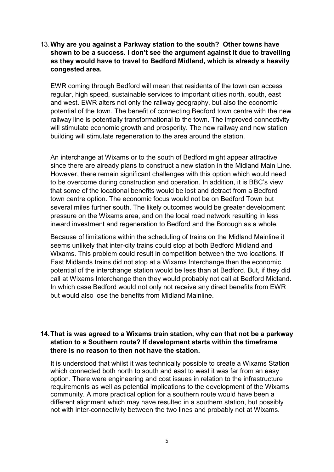13.Why are you against a Parkway station to the south? Other towns have shown to be a success. I don't see the argument against it due to travelling as they would have to travel to Bedford Midland, which is already a heavily congested area.

 EWR coming through Bedford will mean that residents of the town can access regular, high speed, sustainable services to important cities north, south, east and west. EWR alters not only the railway geography, but also the economic potential of the town. The benefit of connecting Bedford town centre with the new railway line is potentially transformational to the town. The improved connectivity will stimulate economic growth and prosperity. The new railway and new station building will stimulate regeneration to the area around the station.

 An interchange at Wixams or to the south of Bedford might appear attractive since there are already plans to construct a new station in the Midland Main Line. However, there remain significant challenges with this option which would need to be overcome during construction and operation. In addition, it is BBC's view that some of the locational benefits would be lost and detract from a Bedford town centre option. The economic focus would not be on Bedford Town but several miles further south. The likely outcomes would be greater development pressure on the Wixams area, and on the local road network resulting in less inward investment and regeneration to Bedford and the Borough as a whole.

 Because of limitations within the scheduling of trains on the Midland Mainline it seems unlikely that inter-city trains could stop at both Bedford Midland and Wixams. This problem could result in competition between the two locations. If East Midlands trains did not stop at a Wixams Interchange then the economic potential of the interchange station would be less than at Bedford. But, if they did call at Wixams Interchange then they would probably not call at Bedford Midland. In which case Bedford would not only not receive any direct benefits from EWR but would also lose the benefits from Midland Mainline.

## 14.That is was agreed to a Wixams train station, why can that not be a parkway station to a Southern route? If development starts within the timeframe there is no reason to then not have the station.

 It is understood that whilst it was technically possible to create a Wixams Station which connected both north to south and east to west it was far from an easy option. There were engineering and cost issues in relation to the infrastructure requirements as well as potential implications to the development of the Wixams community. A more practical option for a southern route would have been a different alignment which may have resulted in a southern station, but possibly not with inter-connectivity between the two lines and probably not at Wixams.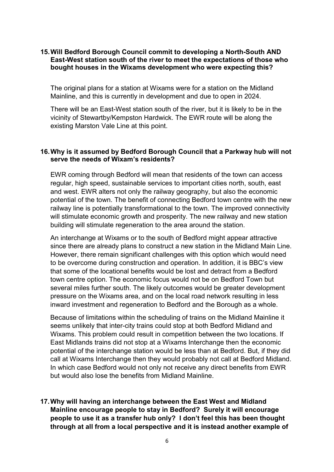#### 15.Will Bedford Borough Council commit to developing a North-South AND East-West station south of the river to meet the expectations of those who bought houses in the Wixams development who were expecting this?

 The original plans for a station at Wixams were for a station on the Midland Mainline, and this is currently in development and due to open in 2024.

 There will be an East-West station south of the river, but it is likely to be in the vicinity of Stewartby/Kempston Hardwick. The EWR route will be along the existing Marston Vale Line at this point.

#### 16.Why is it assumed by Bedford Borough Council that a Parkway hub will not serve the needs of Wixam's residents?

 EWR coming through Bedford will mean that residents of the town can access regular, high speed, sustainable services to important cities north, south, east and west. EWR alters not only the railway geography, but also the economic potential of the town. The benefit of connecting Bedford town centre with the new railway line is potentially transformational to the town. The improved connectivity will stimulate economic growth and prosperity. The new railway and new station building will stimulate regeneration to the area around the station.

 An interchange at Wixams or to the south of Bedford might appear attractive since there are already plans to construct a new station in the Midland Main Line. However, there remain significant challenges with this option which would need to be overcome during construction and operation. In addition, it is BBC's view that some of the locational benefits would be lost and detract from a Bedford town centre option. The economic focus would not be on Bedford Town but several miles further south. The likely outcomes would be greater development pressure on the Wixams area, and on the local road network resulting in less inward investment and regeneration to Bedford and the Borough as a whole.

 Because of limitations within the scheduling of trains on the Midland Mainline it seems unlikely that inter-city trains could stop at both Bedford Midland and Wixams. This problem could result in competition between the two locations. If East Midlands trains did not stop at a Wixams Interchange then the economic potential of the interchange station would be less than at Bedford. But, if they did call at Wixams Interchange then they would probably not call at Bedford Midland. In which case Bedford would not only not receive any direct benefits from EWR but would also lose the benefits from Midland Mainline.

 17.Why will having an interchange between the East West and Midland Mainline encourage people to stay in Bedford? Surely it will encourage people to use it as a transfer hub only? I don't feel this has been thought through at all from a local perspective and it is instead another example of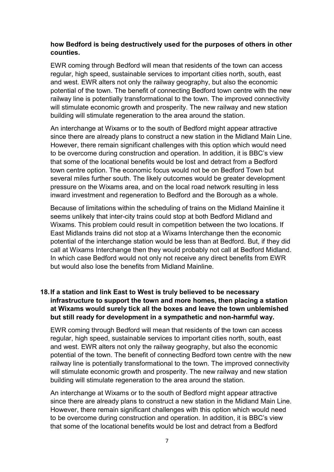## how Bedford is being destructively used for the purposes of others in other counties.

 EWR coming through Bedford will mean that residents of the town can access regular, high speed, sustainable services to important cities north, south, east and west. EWR alters not only the railway geography, but also the economic potential of the town. The benefit of connecting Bedford town centre with the new railway line is potentially transformational to the town. The improved connectivity will stimulate economic growth and prosperity. The new railway and new station building will stimulate regeneration to the area around the station.

 An interchange at Wixams or to the south of Bedford might appear attractive since there are already plans to construct a new station in the Midland Main Line. However, there remain significant challenges with this option which would need to be overcome during construction and operation. In addition, it is BBC's view that some of the locational benefits would be lost and detract from a Bedford town centre option. The economic focus would not be on Bedford Town but several miles further south. The likely outcomes would be greater development pressure on the Wixams area, and on the local road network resulting in less inward investment and regeneration to Bedford and the Borough as a whole.

 Because of limitations within the scheduling of trains on the Midland Mainline it seems unlikely that inter-city trains could stop at both Bedford Midland and Wixams. This problem could result in competition between the two locations. If East Midlands trains did not stop at a Wixams Interchange then the economic potential of the interchange station would be less than at Bedford. But, if they did call at Wixams Interchange then they would probably not call at Bedford Midland. In which case Bedford would not only not receive any direct benefits from EWR but would also lose the benefits from Midland Mainline.

# 18.If a station and link East to West is truly believed to be necessary infrastructure to support the town and more homes, then placing a station at Wixams would surely tick all the boxes and leave the town unblemished but still ready for development in a sympathetic and non-harmful way.

 EWR coming through Bedford will mean that residents of the town can access regular, high speed, sustainable services to important cities north, south, east and west. EWR alters not only the railway geography, but also the economic potential of the town. The benefit of connecting Bedford town centre with the new railway line is potentially transformational to the town. The improved connectivity will stimulate economic growth and prosperity. The new railway and new station building will stimulate regeneration to the area around the station.

 An interchange at Wixams or to the south of Bedford might appear attractive since there are already plans to construct a new station in the Midland Main Line. However, there remain significant challenges with this option which would need to be overcome during construction and operation. In addition, it is BBC's view that some of the locational benefits would be lost and detract from a Bedford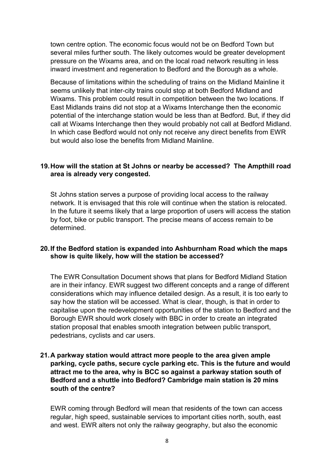town centre option. The economic focus would not be on Bedford Town but several miles further south. The likely outcomes would be greater development pressure on the Wixams area, and on the local road network resulting in less inward investment and regeneration to Bedford and the Borough as a whole.

 Because of limitations within the scheduling of trains on the Midland Mainline it seems unlikely that inter-city trains could stop at both Bedford Midland and Wixams. This problem could result in competition between the two locations. If East Midlands trains did not stop at a Wixams Interchange then the economic potential of the interchange station would be less than at Bedford. But, if they did call at Wixams Interchange then they would probably not call at Bedford Midland. In which case Bedford would not only not receive any direct benefits from EWR but would also lose the benefits from Midland Mainline.

#### 19.How will the station at St Johns or nearby be accessed? The Ampthill road area is already very congested.

 St Johns station serves a purpose of providing local access to the railway network. It is envisaged that this role will continue when the station is relocated. In the future it seems likely that a large proportion of users will access the station by foot, bike or public transport. The precise means of access remain to be determined.

#### 20.If the Bedford station is expanded into Ashburnham Road which the maps show is quite likely, how will the station be accessed?

 The EWR Consultation Document shows that plans for Bedford Midland Station are in their infancy. EWR suggest two different concepts and a range of different considerations which may influence detailed design. As a result, it is too early to say how the station will be accessed. What is clear, though, is that in order to capitalise upon the redevelopment opportunities of the station to Bedford and the Borough EWR should work closely with BBC in order to create an integrated station proposal that enables smooth integration between public transport, pedestrians, cyclists and car users.

## 21.A parkway station would attract more people to the area given ample parking, cycle paths, secure cycle parking etc. This is the future and would attract me to the area, why is BCC so against a parkway station south of Bedford and a shuttle into Bedford? Cambridge main station is 20 mins south of the centre?

 EWR coming through Bedford will mean that residents of the town can access regular, high speed, sustainable services to important cities north, south, east and west. EWR alters not only the railway geography, but also the economic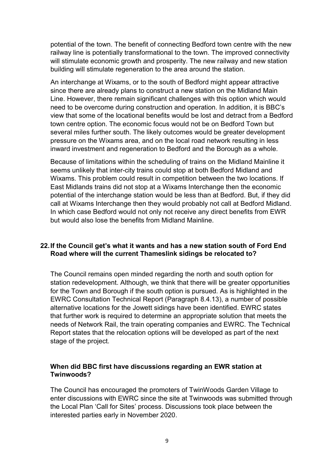potential of the town. The benefit of connecting Bedford town centre with the new railway line is potentially transformational to the town. The improved connectivity will stimulate economic growth and prosperity. The new railway and new station building will stimulate regeneration to the area around the station.

 An interchange at Wixams, or to the south of Bedford might appear attractive since there are already plans to construct a new station on the Midland Main Line. However, there remain significant challenges with this option which would need to be overcome during construction and operation. In addition, it is BBC's view that some of the locational benefits would be lost and detract from a Bedford town centre option. The economic focus would not be on Bedford Town but several miles further south. The likely outcomes would be greater development pressure on the Wixams area, and on the local road network resulting in less inward investment and regeneration to Bedford and the Borough as a whole.

 Because of limitations within the scheduling of trains on the Midland Mainline it seems unlikely that inter-city trains could stop at both Bedford Midland and Wixams. This problem could result in competition between the two locations. If East Midlands trains did not stop at a Wixams Interchange then the economic potential of the interchange station would be less than at Bedford. But, if they did call at Wixams Interchange then they would probably not call at Bedford Midland. In which case Bedford would not only not receive any direct benefits from EWR but would also lose the benefits from Midland Mainline.

#### 22.If the Council get's what it wants and has a new station south of Ford End Road where will the current Thameslink sidings be relocated to?

 The Council remains open minded regarding the north and south option for station redevelopment. Although, we think that there will be greater opportunities for the Town and Borough if the south option is pursued. As is highlighted in the EWRC Consultation Technical Report (Paragraph 8.4.13), a number of possible alternative locations for the Jowett sidings have been identified. EWRC states that further work is required to determine an appropriate solution that meets the needs of Network Rail, the train operating companies and EWRC. The Technical Report states that the relocation options will be developed as part of the next stage of the project.

## When did BBC first have discussions regarding an EWR station at Twinwoods?

 The Council has encouraged the promoters of TwinWoods Garden Village to enter discussions with EWRC since the site at Twinwoods was submitted through the Local Plan 'Call for Sites' process. Discussions took place between the interested parties early in November 2020.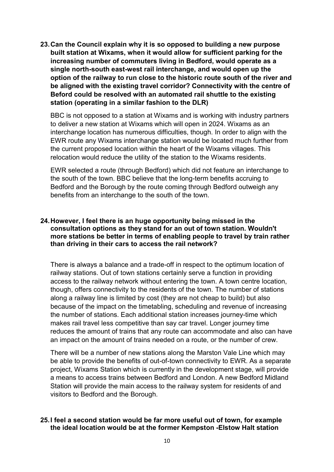23.Can the Council explain why it is so opposed to building a new purpose built station at Wixams, when it would allow for sufficient parking for the increasing number of commuters living in Bedford, would operate as a single north-south east-west rail interchange, and would open up the option of the railway to run close to the historic route south of the river and be aligned with the existing travel corridor? Connectivity with the centre of Beford could be resolved with an automated rail shuttle to the existing station (operating in a similar fashion to the DLR)

 BBC is not opposed to a station at Wixams and is working with industry partners to deliver a new station at Wixams which will open in 2024. Wixams as an interchange location has numerous difficulties, though. In order to align with the EWR route any Wixams interchange station would be located much further from the current proposed location within the heart of the Wixams villages. This relocation would reduce the utility of the station to the Wixams residents.

 EWR selected a route (through Bedford) which did not feature an interchange to the south of the town. BBC believe that the long-term benefits accruing to Bedford and the Borough by the route coming through Bedford outweigh any benefits from an interchange to the south of the town.

#### 24.However, I feel there is an huge opportunity being missed in the consultation options as they stand for an out of town station. Wouldn't more stations be better in terms of enabling people to travel by train rather than driving in their cars to access the rail network?

 There is always a balance and a trade-off in respect to the optimum location of railway stations. Out of town stations certainly serve a function in providing access to the railway network without entering the town. A town centre location, though, offers connectivity to the residents of the town. The number of stations along a railway line is limited by cost (they are not cheap to build) but also because of the impact on the timetabling, scheduling and revenue of increasing the number of stations. Each additional station increases journey-time which makes rail travel less competitive than say car travel. Longer journey time reduces the amount of trains that any route can accommodate and also can have an impact on the amount of trains needed on a route, or the number of crew.

 There will be a number of new stations along the Marston Vale Line which may be able to provide the benefits of out-of-town connectivity to EWR. As a separate project, Wixams Station which is currently in the development stage, will provide a means to access trains between Bedford and London. A new Bedford Midland Station will provide the main access to the railway system for residents of and visitors to Bedford and the Borough.

## 25.I feel a second station would be far more useful out of town, for example the ideal location would be at the former Kempston -Elstow Halt station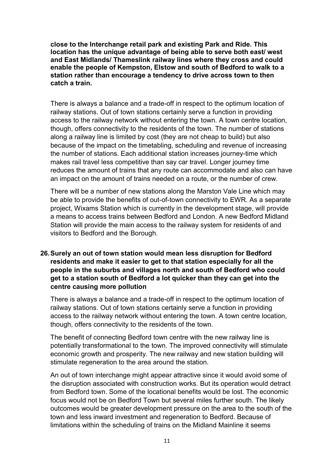close to the Interchange retail park and existing Park and Ride. This location has the unique advantage of being able to serve both east/ west and East Midlands/ Thameslink railway lines where they cross and could enable the people of Kempston, Elstow and south of Bedford to walk to a station rather than encourage a tendency to drive across town to then catch a train.

 There is always a balance and a trade-off in respect to the optimum location of railway stations. Out of town stations certainly serve a function in providing access to the railway network without entering the town. A town centre location, though, offers connectivity to the residents of the town. The number of stations along a railway line is limited by cost (they are not cheap to build) but also because of the impact on the timetabling, scheduling and revenue of increasing the number of stations. Each additional station increases journey-time which makes rail travel less competitive than say car travel. Longer journey time reduces the amount of trains that any route can accommodate and also can have an impact on the amount of trains needed on a route, or the number of crew.

 There will be a number of new stations along the Marston Vale Line which may be able to provide the benefits of out-of-town connectivity to EWR. As a separate project, Wixams Station which is currently in the development stage, will provide a means to access trains between Bedford and London. A new Bedford Midland Station will provide the main access to the railway system for residents of and visitors to Bedford and the Borough.

# 26.Surely an out of town station would mean less disruption for Bedford residents and make it easier to get to that station especially for all the people in the suburbs and villages north and south of Bedford who could get to a station south of Bedford a lot quicker than they can get into the centre causing more pollution

 There is always a balance and a trade-off in respect to the optimum location of railway stations. Out of town stations certainly serve a function in providing access to the railway network without entering the town. A town centre location, though, offers connectivity to the residents of the town.

 The benefit of connecting Bedford town centre with the new railway line is potentially transformational to the town. The improved connectivity will stimulate economic growth and prosperity. The new railway and new station building will stimulate regeneration to the area around the station.

 An out of town interchange might appear attractive since it would avoid some of the disruption associated with construction works. But its operation would detract from Bedford town. Some of the locational benefits would be lost. The economic focus would not be on Bedford Town but several miles further south. The likely outcomes would be greater development pressure on the area to the south of the town and less inward investment and regeneration to Bedford. Because of limitations within the scheduling of trains on the Midland Mainline it seems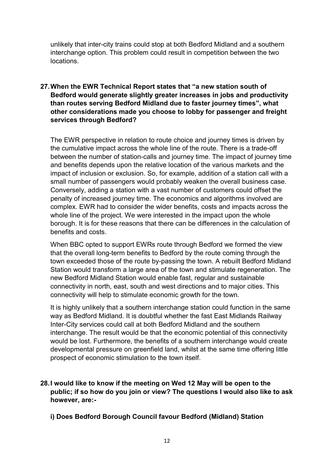unlikely that inter-city trains could stop at both Bedford Midland and a southern interchange option. This problem could result in competition between the two locations.

# 27.When the EWR Technical Report states that "a new station south of Bedford would generate slightly greater increases in jobs and productivity than routes serving Bedford Midland due to faster journey times", what other considerations made you choose to lobby for passenger and freight services through Bedford?

 The EWR perspective in relation to route choice and journey times is driven by the cumulative impact across the whole line of the route. There is a trade-off between the number of station-calls and journey time. The impact of journey time and benefits depends upon the relative location of the various markets and the impact of inclusion or exclusion. So, for example, addition of a station call with a small number of passengers would probably weaken the overall business case. Conversely, adding a station with a vast number of customers could offset the penalty of increased journey time. The economics and algorithms involved are complex. EWR had to consider the wider benefits, costs and impacts across the whole line of the project. We were interested in the impact upon the whole borough. It is for these reasons that there can be differences in the calculation of benefits and costs.

 When BBC opted to support EWRs route through Bedford we formed the view that the overall long-term benefits to Bedford by the route coming through the town exceeded those of the route by-passing the town. A rebuilt Bedford Midland Station would transform a large area of the town and stimulate regeneration. The new Bedford Midland Station would enable fast, regular and sustainable connectivity in north, east, south and west directions and to major cities. This connectivity will help to stimulate economic growth for the town.

 It is highly unlikely that a southern interchange station could function in the same way as Bedford Midland. It is doubtful whether the fast East Midlands Railway Inter-City services could call at both Bedford Midland and the southern interchange. The result would be that the economic potential of this connectivity would be lost. Furthermore, the benefits of a southern interchange would create developmental pressure on greenfield land, whilst at the same time offering little prospect of economic stimulation to the town itself.

- 28.I would like to know if the meeting on Wed 12 May will be open to the public; if so how do you join or view? The questions I would also like to ask however, are:-
	- i) Does Bedford Borough Council favour Bedford (Midland) Station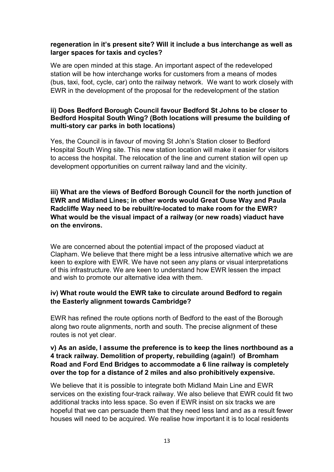# regeneration in it's present site? Will it include a bus interchange as well as larger spaces for taxis and cycles?

 We are open minded at this stage. An important aspect of the redeveloped station will be how interchange works for customers from a means of modes (bus, taxi, foot, cycle, car) onto the railway network. We want to work closely with EWR in the development of the proposal for the redevelopment of the station

## ii) Does Bedford Borough Council favour Bedford St Johns to be closer to Bedford Hospital South Wing? (Both locations will presume the building of multi-story car parks in both locations)

 Yes, the Council is in favour of moving St John's Station closer to Bedford Hospital South Wing site. This new station location will make it easier for visitors to access the hospital. The relocation of the line and current station will open up development opportunities on current railway land and the vicinity.

 iii) What are the views of Bedford Borough Council for the north junction of EWR and Midland Lines; in other words would Great Ouse Way and Paula Radcliffe Way need to be rebuilt/re-located to make room for the EWR? What would be the visual impact of a railway (or new roads) viaduct have on the environs.

 We are concerned about the potential impact of the proposed viaduct at Clapham. We believe that there might be a less intrusive alternative which we are keen to explore with EWR. We have not seen any plans or visual interpretations of this infrastructure. We are keen to understand how EWR lessen the impact and wish to promote our alternative idea with them.

# iv) What route would the EWR take to circulate around Bedford to regain the Easterly alignment towards Cambridge?

 EWR has refined the route options north of Bedford to the east of the Borough along two route alignments, north and south. The precise alignment of these routes is not yet clear.

## v) As an aside, I assume the preference is to keep the lines northbound as a 4 track railway. Demolition of property, rebuilding (again!) of Bromham Road and Ford End Bridges to accommodate a 6 line railway is completely over the top for a distance of 2 miles and also prohibitively expensive.

 We believe that it is possible to integrate both Midland Main Line and EWR services on the existing four-track railway. We also believe that EWR could fit two additional tracks into less space. So even if EWR insist on six tracks we are hopeful that we can persuade them that they need less land and as a result fewer houses will need to be acquired. We realise how important it is to local residents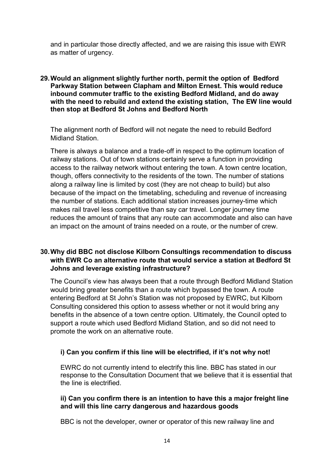and in particular those directly affected, and we are raising this issue with EWR as matter of urgency.

#### 29.Would an alignment slightly further north, permit the option of Bedford Parkway Station between Clapham and Milton Ernest. This would reduce inbound commuter traffic to the existing Bedford Midland, and do away with the need to rebuild and extend the existing station, The EW line would then stop at Bedford St Johns and Bedford North

 The alignment north of Bedford will not negate the need to rebuild Bedford Midland Station.

 There is always a balance and a trade-off in respect to the optimum location of railway stations. Out of town stations certainly serve a function in providing access to the railway network without entering the town. A town centre location, though, offers connectivity to the residents of the town. The number of stations along a railway line is limited by cost (they are not cheap to build) but also because of the impact on the timetabling, scheduling and revenue of increasing the number of stations. Each additional station increases journey-time which makes rail travel less competitive than say car travel. Longer journey time reduces the amount of trains that any route can accommodate and also can have an impact on the amount of trains needed on a route, or the number of crew.

# 30.Why did BBC not disclose Kilborn Consultings recommendation to discuss with EWR Co an alternative route that would service a station at Bedford St Johns and leverage existing infrastructure?

 The Council's view has always been that a route through Bedford Midland Station would bring greater benefits than a route which bypassed the town. A route entering Bedford at St John's Station was not proposed by EWRC, but Kilborn Consulting considered this option to assess whether or not it would bring any benefits in the absence of a town centre option. Ultimately, the Council opted to support a route which used Bedford Midland Station, and so did not need to promote the work on an alternative route.

# i) Can you confirm if this line will be electrified, if it's not why not!

 EWRC do not currently intend to electrify this line. BBC has stated in our response to the Consultation Document that we believe that it is essential that the line is electrified.

#### ii) Can you confirm there is an intention to have this a major freight line and will this line carry dangerous and hazardous goods

BBC is not the developer, owner or operator of this new railway line and